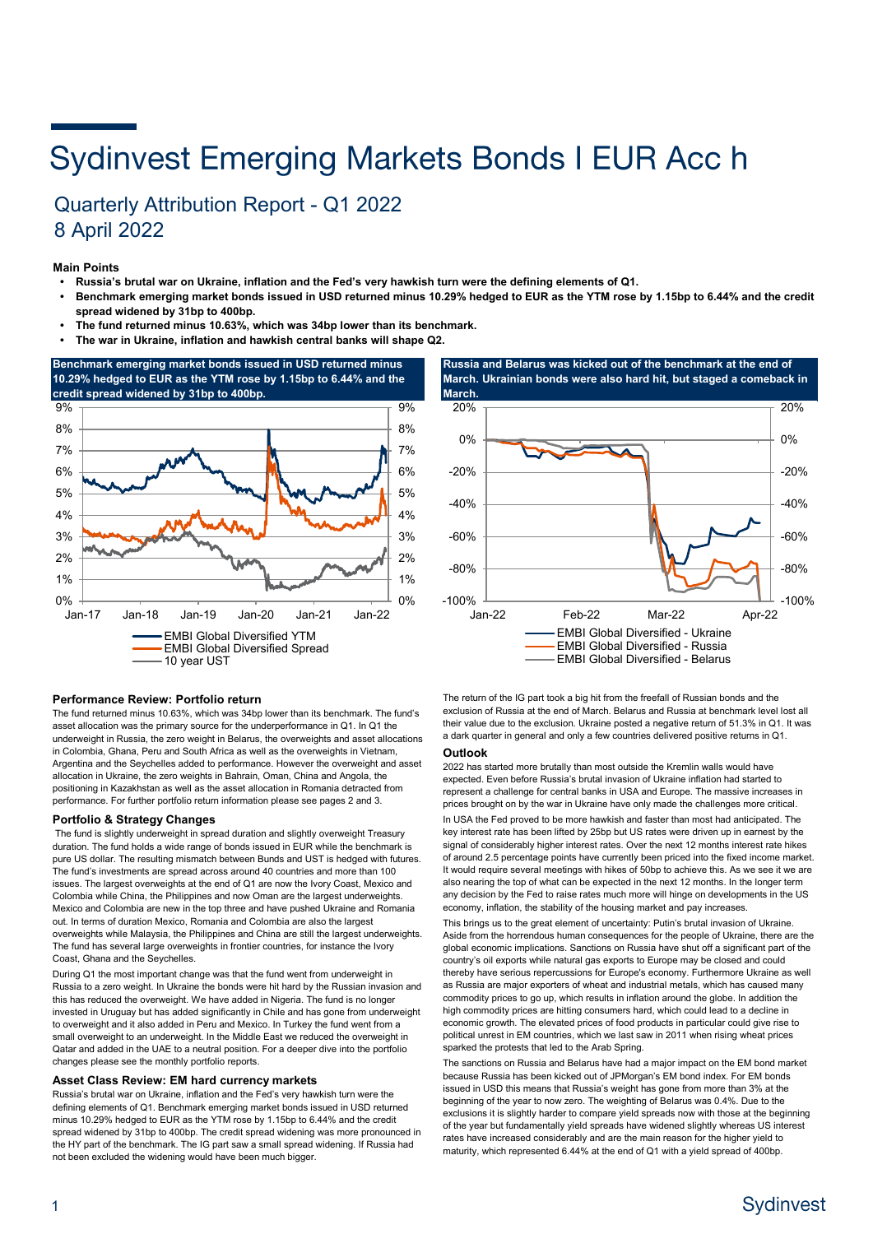# **Sydinvest Emerging Markets Bonds I EUR Acc h**

## Quarterly Attribution Report - Q1 2022 8 April 2022

#### **Main Points**

- **Russia's brutal war on Ukraine, inflation and the Fed's very hawkish turn were the defining elements of Q1.**
- **Benchmark emerging market bonds issued in USD returned minus 10.29% hedged to EUR as the YTM rose by 1.15bp to 6.44% and the credit spread widened by 31bp to 400bp.**
- **• The fund returned minus 10.63%, which was 34bp lower than its benchmark.**
- **The war in Ukraine, inflation and hawkish central banks will shape Q2.**





#### **Performance Review: Portfolio return**

The fund returned minus 10.63%, which was 34bp lower than its benchmark. The fund's asset allocation was the primary source for the underperformance in Q1. In Q1 the underweight in Russia, the zero weight in Belarus, the overweights and asset allocations in Colombia, Ghana, Peru and South Africa as well as the overweights in Vietnam, Argentina and the Seychelles added to performance. However the overweight and asset allocation in Ukraine, the zero weights in Bahrain, Oman, China and Angola, the positioning in Kazakhstan as well as the asset allocation in Romania detracted from performance. For further portfolio return information please see pages 2 and 3.

#### **Portfolio & Strategy Changes**

 The fund is slightly underweight in spread duration and slightly overweight Treasury duration. The fund holds a wide range of bonds issued in EUR while the benchmark is pure US dollar. The resulting mismatch between Bunds and UST is hedged with futures. The fund's investments are spread across around 40 countries and more than 100 issues. The largest overweights at the end of Q1 are now the Ivory Coast, Mexico and Colombia while China, the Philippines and now Oman are the largest underweights. Mexico and Colombia are new in the top three and have pushed Ukraine and Romania out. In terms of duration Mexico, Romania and Colombia are also the largest overweights while Malaysia, the Philippines and China are still the largest underweights. The fund has several large overweights in frontier countries, for instance the Ivory Coast, Ghana and the Seychelles.

During Q1 the most important change was that the fund went from underweight in Russia to a zero weight. In Ukraine the bonds were hit hard by the Russian invasion and this has reduced the overweight. We have added in Nigeria. The fund is no longer invested in Uruguay but has added significantly in Chile and has gone from underweight to overweight and it also added in Peru and Mexico. In Turkey the fund went from a small overweight to an underweight. In the Middle East we reduced the overweight in Qatar and added in the UAE to a neutral position. For a deeper dive into the portfolio changes please see the monthly portfolio reports.

#### **Asset Class Review: EM hard currency markets**

Russia's brutal war on Ukraine, inflation and the Fed's very hawkish turn were the defining elements of Q1. Benchmark emerging market bonds issued in USD returned minus 10.29% hedged to EUR as the YTM rose by 1.15bp to 6.44% and the credit spread widened by 31bp to 400bp. The credit spread widening was more pronounced in the HY part of the benchmark. The IG part saw a small spread widening. If Russia had not been excluded the widening would have been much bigger.

The return of the IG part took a big hit from the freefall of Russian bonds and the exclusion of Russia at the end of March. Belarus and Russia at benchmark level lost all their value due to the exclusion. Ukraine posted a negative return of 51.3% in Q1. It was a dark quarter in general and only a few countries delivered positive returns in Q1.

#### **Outlook**

2022 has started more brutally than most outside the Kremlin walls would have expected. Even before Russia's brutal invasion of Ukraine inflation had started to represent a challenge for central banks in USA and Europe. The massive increases in prices brought on by the war in Ukraine have only made the challenges more critical. In USA the Fed proved to be more hawkish and faster than most had anticipated. The key interest rate has been lifted by 25bp but US rates were driven up in earnest by the signal of considerably higher interest rates. Over the next 12 months interest rate hikes of around 2.5 percentage points have currently been priced into the fixed income market. It would require several meetings with hikes of 50bp to achieve this. As we see it we are also nearing the top of what can be expected in the next 12 months. In the longer term any decision by the Fed to raise rates much more will hinge on developments in the US economy, inflation, the stability of the housing market and pay increases.

This brings us to the great element of uncertainty: Putin's brutal invasion of Ukraine. Aside from the horrendous human consequences for the people of Ukraine, there are the global economic implications. Sanctions on Russia have shut off a significant part of the country's oil exports while natural gas exports to Europe may be closed and could thereby have serious repercussions for Europe's economy. Furthermore Ukraine as well as Russia are major exporters of wheat and industrial metals, which has caused many commodity prices to go up, which results in inflation around the globe. In addition the high commodity prices are hitting consumers hard, which could lead to a decline in economic growth. The elevated prices of food products in particular could give rise to political unrest in EM countries, which we last saw in 2011 when rising wheat prices sparked the protests that led to the Arab Spring.

The sanctions on Russia and Belarus have had a major impact on the EM bond market because Russia has been kicked out of JPMorgan's EM bond index. For EM bonds issued in USD this means that Russia's weight has gone from more than 3% at the beginning of the year to now zero. The weighting of Belarus was 0.4%. Due to the exclusions it is slightly harder to compare yield spreads now with those at the beginning of the year but fundamentally yield spreads have widened slightly whereas US interest rates have increased considerably and are the main reason for the higher yield to maturity, which represented 6.44% at the end of Q1 with a yield spread of 400bp.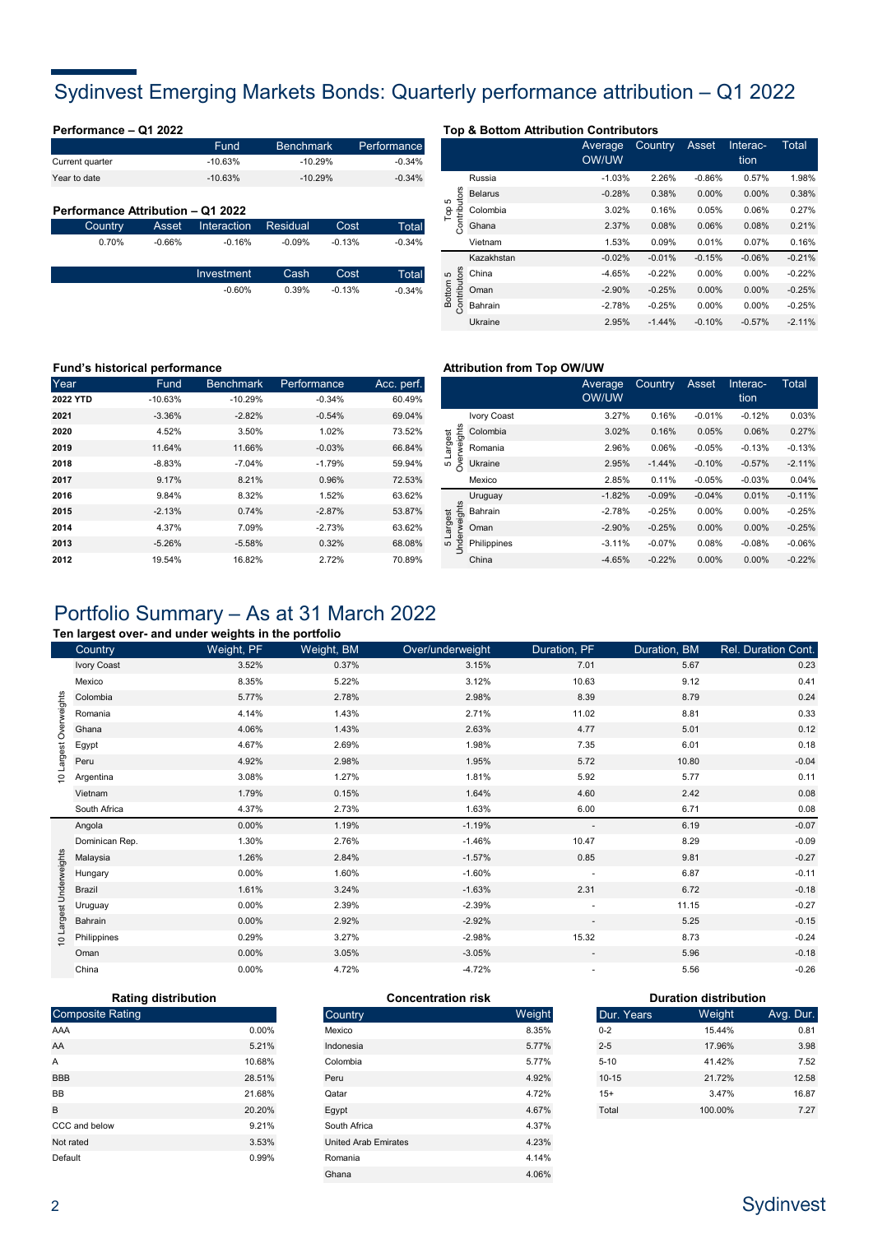## Sydinvest Emerging Markets Bonds: Quarterly performance attribution – Q1 2022

| Performance - Q1 2022             |          |             |                  |          |             |                      |                | <b>Top &amp; Bottom Attribution Contributors</b> |        |
|-----------------------------------|----------|-------------|------------------|----------|-------------|----------------------|----------------|--------------------------------------------------|--------|
|                                   |          | Fund        | <b>Benchmark</b> |          | Performance |                      |                | Average                                          | Cour   |
| Current quarter                   |          | $-10.63%$   | $-10.29%$        |          | $-0.34%$    |                      |                | OW/UW                                            |        |
| Year to date                      |          | $-10.63%$   | $-10.29%$        |          | $-0.34%$    |                      | Russia         | $-1.03%$                                         | 2.3    |
|                                   |          |             |                  |          |             | <b>ors</b><br>5      | <b>Belarus</b> | $-0.28%$                                         | $0$ .  |
| Performance Attribution - Q1 2022 |          |             |                  |          |             | $\Gamma_{\text{op}}$ | Colombia       | 3.02%                                            | 0.1    |
| Country                           | Asset    | Interaction | Residual         | Cost     | Total       | Contrib              | Ghana          | 2.37%                                            | 0.1    |
| 0.70%                             | $-0.66%$ | $-0.16%$    | $-0.09%$         | $-0.13%$ | $-0.34%$    |                      | Vietnam        | 1.53%                                            | 0.0    |
|                                   |          |             |                  |          |             |                      | Kazakhstan     | $-0.02%$                                         | $-0.0$ |
|                                   |          | Investment  | Cash             | Cost     | Total       | $\mathfrak{S}$       | China          | $-4.65%$                                         | $-0.2$ |
|                                   |          | $-0.60%$    | 0.39%            | $-0.13%$ | $-0.34%$    | tributors<br>ottom   | Oman           | $-2.90%$                                         | $-0.2$ |
|                                   |          |             |                  |          |             |                      |                |                                                  |        |

|                                              |                | Average<br><b>OW/UW</b> | Country  | <b>Asset</b> | Interac-<br>tion | Total    |
|----------------------------------------------|----------------|-------------------------|----------|--------------|------------------|----------|
| Contributors<br>5<br>$\overline{\mathsf{P}}$ | Russia         | $-1.03%$                | 2.26%    | $-0.86%$     | 0.57%            | 1.98%    |
|                                              | <b>Belarus</b> | $-0.28%$                | 0.38%    | 0.00%        | 0.00%            | 0.38%    |
|                                              | Colombia       | 3.02%                   | 0.16%    | 0.05%        | 0.06%            | 0.27%    |
|                                              | Ghana          | 2.37%                   | 0.08%    | 0.06%        | 0.08%            | 0.21%    |
|                                              | Vietnam        | 1.53%                   | 0.09%    | 0.01%        | 0.07%            | 0.16%    |
| Contributors<br>Bottom <sub>5</sub>          | Kazakhstan     | $-0.02%$                | $-0.01%$ | $-0.15%$     | $-0.06%$         | $-0.21%$ |
|                                              | China          | $-4.65%$                | $-0.22%$ | $0.00\%$     | 0.00%            | $-0.22%$ |
|                                              | Oman           | $-2.90%$                | $-0.25%$ | $0.00\%$     | 0.00%            | $-0.25%$ |
|                                              | Bahrain        | $-2.78%$                | $-0.25%$ | $0.00\%$     | 0.00%            | $-0.25%$ |
|                                              | Ukraine        | 2.95%                   | $-1.44%$ | $-0.10%$     | $-0.57%$         | $-2.11%$ |

### **Fund's historical performance Attribution from Top OW/UW Attribution from Top OW/UW**

| Year     | Fund      | <b>Benchmark</b> | Performance | Acc. perf. |
|----------|-----------|------------------|-------------|------------|
| 2022 YTD | $-10.63%$ | $-10.29%$        | $-0.34%$    | 60.49%     |
| 2021     | $-3.36%$  | $-2.82%$         | $-0.54%$    | 69.04%     |
| 2020     | 4.52%     | 3.50%            | 1.02%       | 73.52%     |
| 2019     | 11.64%    | 11.66%           | $-0.03%$    | 66.84%     |
| 2018     | $-8.83%$  | $-7.04%$         | $-1.79%$    | 59.94%     |
| 2017     | 9.17%     | 8.21%            | 0.96%       | 72.53%     |
| 2016     | 9.84%     | 8.32%            | 1.52%       | 63.62%     |
| 2015     | $-2.13%$  | 0.74%            | $-2.87%$    | 53.87%     |
| 2014     | 4.37%     | 7.09%            | $-2.73%$    | 63.62%     |
| 2013     | $-5.26%$  | $-5.58%$         | 0.32%       | 68.08%     |
| 2012     | 19.54%    | 16.82%           | 2.72%       | 70.89%     |

| $=$ perf.<br>60.49% |                                |             | Average<br><b>OW/UW</b> | Country  | Asset    | Interac-<br>tion | Total    |
|---------------------|--------------------------------|-------------|-------------------------|----------|----------|------------------|----------|
| 69.04%              |                                | Ivory Coast | 3.27%                   | 0.16%    | $-0.01%$ | $-0.12%$         | 0.03%    |
| 73.52%              | weights                        | Colombia    | 3.02%                   | 0.16%    | 0.05%    | 0.06%            | 0.27%    |
| 66.84%              | argest                         | Romania     | 2.96%                   | 0.06%    | $-0.05%$ | $-0.13%$         | $-0.13%$ |
| 59.94%              | $\approx$<br>Ю                 | Ukraine     | 2.95%                   | $-1.44%$ | $-0.10%$ | $-0.57%$         | $-2.11%$ |
| 72.53%              |                                | Mexico      | 2.85%                   | 0.11%    | $-0.05%$ | $-0.03%$         | 0.04%    |
| 63.62%              |                                | Uruguay     | $-1.82%$                | $-0.09%$ | $-0.04%$ | 0.01%            | $-0.11%$ |
| 53.87%              | rweights                       | Bahrain     | $-2.78%$                | $-0.25%$ | 0.00%    | 0.00%            | $-0.25%$ |
| 63.62%              | Largest<br>$\overline{\omega}$ | Oman        | $-2.90%$                | $-0.25%$ | 0.00%    | 0.00%            | $-0.25%$ |
| 68.08%              | Ĕ<br>Ю                         | Philippines | $-3.11%$                | $-0.07%$ | 0.08%    | $-0.08%$         | $-0.06%$ |
| 70.89%              |                                | China       | $-4.65%$                | $-0.22%$ | 0.00%    | 0.00%            | $-0.22%$ |

## Portfolio Summary – As at 31 March 2022

#### **Ten largest over- and under weights in the portfolio**

|                         | Country        | Weight, PF | Weight, BM | Over/underweight | Duration, PF             | Duration, BM | Rel. Duration Cont. |
|-------------------------|----------------|------------|------------|------------------|--------------------------|--------------|---------------------|
|                         | Ivory Coast    | 3.52%      | 0.37%      | 3.15%            | 7.01                     | 5.67         | 0.23                |
|                         | Mexico         | 8.35%      | 5.22%      | 3.12%            | 10.63                    | 9.12         | 0.41                |
| Largest Overweights     | Colombia       | 5.77%      | 2.78%      | 2.98%            | 8.39                     | 8.79         | 0.24                |
|                         | Romania        | 4.14%      | 1.43%      | 2.71%            | 11.02                    | 8.81         | 0.33                |
|                         | Ghana          | 4.06%      | 1.43%      | 2.63%            | 4.77                     | 5.01         | 0.12                |
|                         | Egypt          | 4.67%      | 2.69%      | 1.98%            | 7.35                     | 6.01         | 0.18                |
| $\overline{c}$          | Peru           | 4.92%      | 2.98%      | 1.95%            | 5.72                     | 10.80        | $-0.04$             |
|                         | Argentina      | 3.08%      | 1.27%      | 1.81%            | 5.92                     | 5.77         | 0.11                |
|                         | Vietnam        | 1.79%      | 0.15%      | 1.64%            | 4.60                     | 2.42         | 0.08                |
|                         | South Africa   | 4.37%      | 2.73%      | 1.63%            | 6.00                     | 6.71         | 0.08                |
|                         | Angola         | 0.00%      | 1.19%      | $-1.19%$         | $\overline{\phantom{a}}$ | 6.19         | $-0.07$             |
|                         | Dominican Rep. | 1.30%      | 2.76%      | $-1.46%$         | 10.47                    | 8.29         | $-0.09$             |
|                         | Malaysia       | 1.26%      | 2.84%      | $-1.57%$         | 0.85                     | 9.81         | $-0.27$             |
|                         | Hungary        | 0.00%      | 1.60%      | $-1.60%$         |                          | 6.87         | $-0.11$             |
|                         | Brazil         | 1.61%      | 3.24%      | $-1.63%$         | 2.31                     | 6.72         | $-0.18$             |
|                         | Uruguay        | 0.00%      | 2.39%      | $-2.39%$         | ٠                        | 11.15        | $-0.27$             |
| 10 Largest Underweights | Bahrain        | 0.00%      | 2.92%      | $-2.92%$         | $\overline{\phantom{a}}$ | 5.25         | $-0.15$             |
|                         | Philippines    | 0.29%      | 3.27%      | $-2.98%$         | 15.32                    | 8.73         | $-0.24$             |
|                         | Oman           | 0.00%      | 3.05%      | $-3.05%$         | $\overline{\phantom{a}}$ | 5.96         | $-0.18$             |
|                         | China          | 0.00%      | 4.72%      | $-4.72%$         |                          | 5.56         | $-0.26$             |

### **Rating distribution**

| <b>Composite Rating</b> |        |
|-------------------------|--------|
| AAA                     | 0.00%  |
| AA                      | 5.21%  |
| A                       | 10.68% |
| <b>BBB</b>              | 28.51% |
| <b>BB</b>               | 21.68% |
| B                       | 20.20% |
| CCC and below           | 9.21%  |
| Not rated               | 3.53%  |
| Default                 | 0.99%  |

| Concentration risk          |        |            |
|-----------------------------|--------|------------|
| Country                     | Weight | Dur. Years |
| Mexico                      | 8.35%  | $0 - 2$    |
| Indonesia                   | 5.77%  | $2 - 5$    |
| Colombia                    | 5.77%  | $5 - 10$   |
| Peru                        | 4.92%  | $10 - 15$  |
| Qatar                       | 4.72%  | $15+$      |
| Egypt                       | 4.67%  | Total      |
| South Africa                | 4.37%  |            |
| <b>United Arab Emirates</b> | 4.23%  |            |
| Romania                     | 4.14%  |            |
| Ghana                       | 4.06%  |            |
|                             |        |            |

| <b>Concentration risk</b> |        |            | <b>Duration distribution</b> |           |
|---------------------------|--------|------------|------------------------------|-----------|
|                           | Weight | Dur. Years | Weight                       | Avg. Dur. |
|                           | 8.35%  | $0 - 2$    | 15.44%                       | 0.81      |
|                           | 5.77%  | $2 - 5$    | 17.96%                       | 3.98      |
|                           | 5.77%  | $5 - 10$   | 41.42%                       | 7.52      |
|                           | 4.92%  | $10 - 15$  | 21.72%                       | 12.58     |
|                           | 4.72%  | $15+$      | 3.47%                        | 16.87     |
|                           | 4.67%  | Total      | 100.00%                      | 7.27      |
|                           |        |            |                              |           |

## Sydinvest